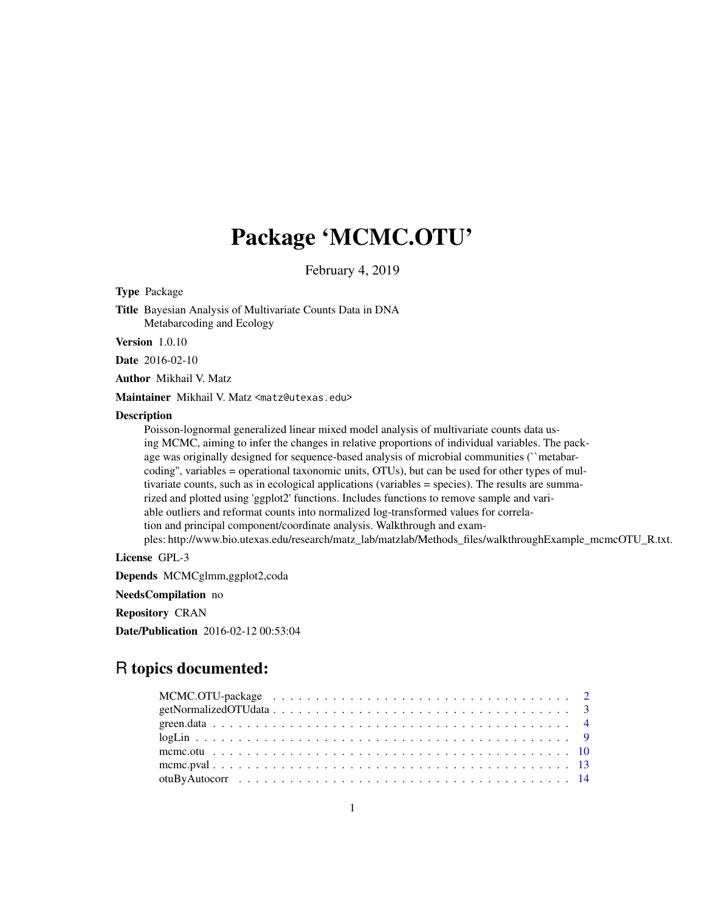# Package 'MCMC.OTU'

February 4, 2019

Type Package

Title Bayesian Analysis of Multivariate Counts Data in DNA Metabarcoding and Ecology

Version 1.0.10

Date 2016-02-10

Author Mikhail V. Matz

Maintainer Mikhail V. Matz <matz@utexas.edu>

#### **Description**

Poisson-lognormal generalized linear mixed model analysis of multivariate counts data using MCMC, aiming to infer the changes in relative proportions of individual variables. The package was originally designed for sequence-based analysis of microbial communities ("metabarcoding'', variables = operational taxonomic units, OTUs), but can be used for other types of multivariate counts, such as in ecological applications (variables = species). The results are summarized and plotted using 'ggplot2' functions. Includes functions to remove sample and variable outliers and reformat counts into normalized log-transformed values for correlation and principal component/coordinate analysis. Walkthrough and exam-

ples: http://www.bio.utexas.edu/research/matz\_lab/matzlab/Methods\_files/walkthroughExample\_mcmcOTU\_R.txt.

License GPL-3

Depends MCMCglmm,ggplot2,coda

NeedsCompilation no

Repository CRAN

Date/Publication 2016-02-12 00:53:04

# R topics documented:

| MCMC.OTU-package $\ldots \ldots \ldots \ldots \ldots \ldots \ldots \ldots \ldots \ldots \ldots \ldots \ldots 2$ |  |
|-----------------------------------------------------------------------------------------------------------------|--|
|                                                                                                                 |  |
|                                                                                                                 |  |
|                                                                                                                 |  |
|                                                                                                                 |  |
|                                                                                                                 |  |
|                                                                                                                 |  |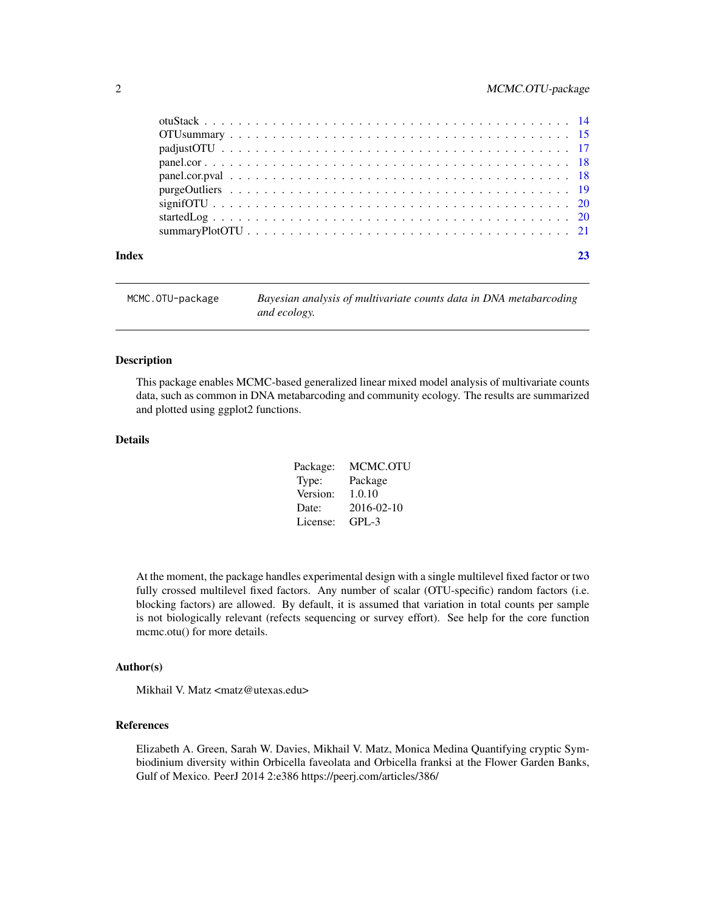<span id="page-1-0"></span>

| MCMC.OTU-package | Bayesian analysis of multivariate counts data in DNA metabarcoding |
|------------------|--------------------------------------------------------------------|
|                  | and ecology.                                                       |

This package enables MCMC-based generalized linear mixed model analysis of multivariate counts data, such as common in DNA metabarcoding and community ecology. The results are summarized and plotted using ggplot2 functions.

#### Details

| Package: | MCMC.OTU   |
|----------|------------|
| Type:    | Package    |
| Version: | 1.0.10     |
| Date:    | 2016-02-10 |
| License: | GPL-3      |

At the moment, the package handles experimental design with a single multilevel fixed factor or two fully crossed multilevel fixed factors. Any number of scalar (OTU-specific) random factors (i.e. blocking factors) are allowed. By default, it is assumed that variation in total counts per sample is not biologically relevant (refects sequencing or survey effort). See help for the core function mcmc.otu() for more details.

#### Author(s)

Mikhail V. Matz <matz@utexas.edu>

#### References

Elizabeth A. Green, Sarah W. Davies, Mikhail V. Matz, Monica Medina Quantifying cryptic Symbiodinium diversity within Orbicella faveolata and Orbicella franksi at the Flower Garden Banks, Gulf of Mexico. PeerJ 2014 2:e386 https://peerj.com/articles/386/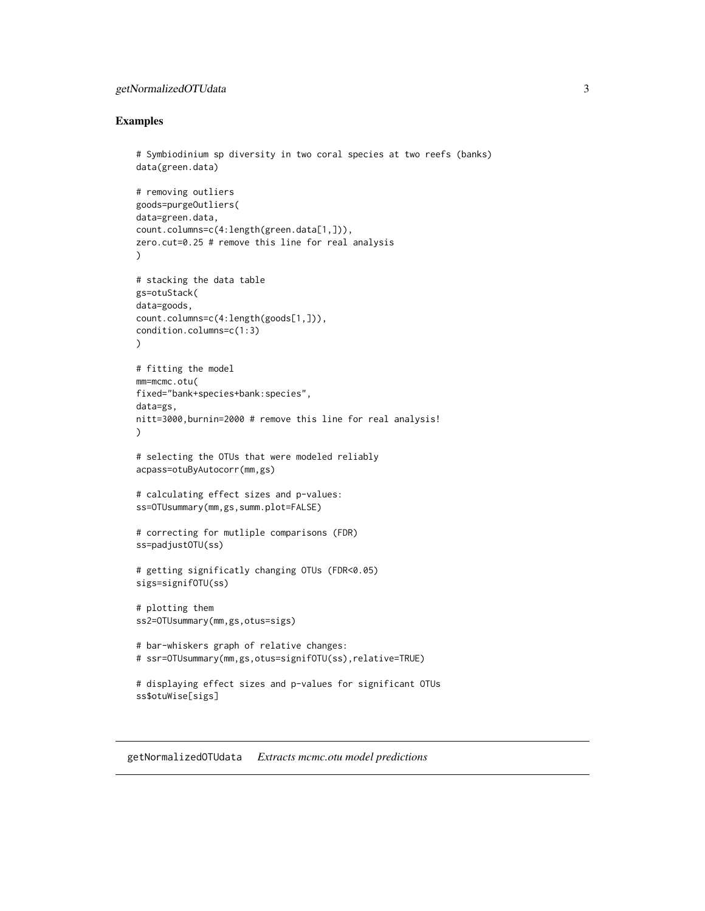# <span id="page-2-0"></span>getNormalizedOTUdata 3

#### Examples

```
# Symbiodinium sp diversity in two coral species at two reefs (banks)
data(green.data)
# removing outliers
goods=purgeOutliers(
data=green.data,
count.columns=c(4:length(green.data[1,])),
zero.cut=0.25 # remove this line for real analysis
)
# stacking the data table
gs=otuStack(
data=goods,
count.columns=c(4:length(goods[1,])),
condition.columns=c(1:3)
)
# fitting the model
mm=mcmc.otu(
fixed="bank+species+bank:species",
data=gs,
nitt=3000,burnin=2000 # remove this line for real analysis!
)
# selecting the OTUs that were modeled reliably
acpass=otuByAutocorr(mm,gs)
# calculating effect sizes and p-values:
ss=OTUsummary(mm,gs,summ.plot=FALSE)
# correcting for mutliple comparisons (FDR)
ss=padjustOTU(ss)
# getting significatly changing OTUs (FDR<0.05)
sigs=signifOTU(ss)
# plotting them
ss2=OTUsummary(mm,gs,otus=sigs)
# bar-whiskers graph of relative changes:
# ssr=OTUsummary(mm,gs,otus=signifOTU(ss),relative=TRUE)
# displaying effect sizes and p-values for significant OTUs
ss$otuWise[sigs]
```
getNormalizedOTUdata *Extracts mcmc.otu model predictions*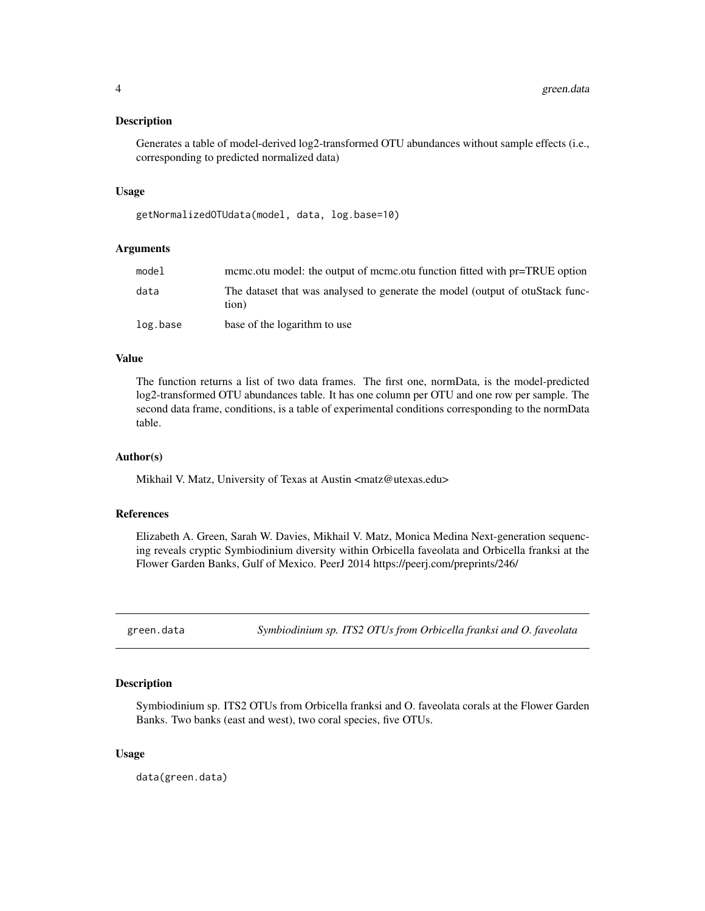<span id="page-3-0"></span>Generates a table of model-derived log2-transformed OTU abundances without sample effects (i.e., corresponding to predicted normalized data)

#### Usage

getNormalizedOTUdata(model, data, log.base=10)

#### Arguments

| model    | meme.otu model: the output of meme.otu function fitted with pr=TRUE option             |
|----------|----------------------------------------------------------------------------------------|
| data     | The dataset that was analysed to generate the model (output of otuStack func-<br>tion) |
| log.base | base of the logarithm to use                                                           |

#### Value

The function returns a list of two data frames. The first one, normData, is the model-predicted log2-transformed OTU abundances table. It has one column per OTU and one row per sample. The second data frame, conditions, is a table of experimental conditions corresponding to the normData table.

#### Author(s)

Mikhail V. Matz, University of Texas at Austin <matz@utexas.edu>

# References

Elizabeth A. Green, Sarah W. Davies, Mikhail V. Matz, Monica Medina Next-generation sequencing reveals cryptic Symbiodinium diversity within Orbicella faveolata and Orbicella franksi at the Flower Garden Banks, Gulf of Mexico. PeerJ 2014 https://peerj.com/preprints/246/

green.data *Symbiodinium sp. ITS2 OTUs from Orbicella franksi and O. faveolata*

#### Description

Symbiodinium sp. ITS2 OTUs from Orbicella franksi and O. faveolata corals at the Flower Garden Banks. Two banks (east and west), two coral species, five OTUs.

#### Usage

data(green.data)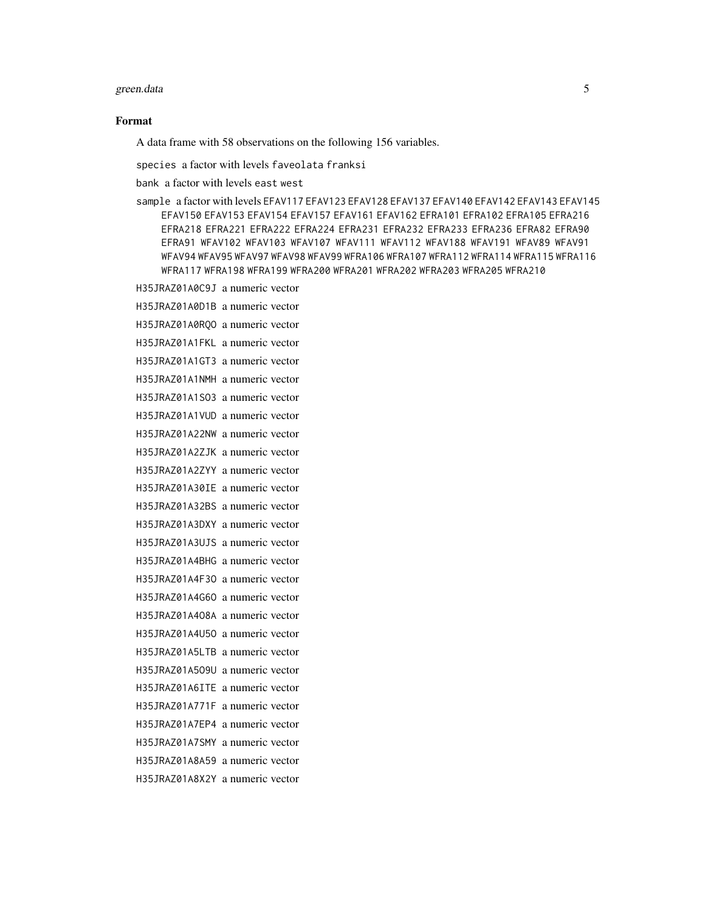#### green.data 5

# Format

A data frame with 58 observations on the following 156 variables.

species a factor with levels faveolata franksi

bank a factor with levels east west

sample a factor with levels EFAV117 EFAV123 EFAV128 EFAV137 EFAV140 EFAV142 EFAV143 EFAV145 EFAV150 EFAV153 EFAV154 EFAV157 EFAV161 EFAV162 EFRA101 EFRA102 EFRA105 EFRA216 EFRA218 EFRA221 EFRA222 EFRA224 EFRA231 EFRA232 EFRA233 EFRA236 EFRA82 EFRA90 EFRA91 WFAV102 WFAV103 WFAV107 WFAV111 WFAV112 WFAV188 WFAV191 WFAV89 WFAV91 WFAV94 WFAV95 WFAV97 WFAV98 WFAV99 WFRA106 WFRA107 WFRA112 WFRA114 WFRA115 WFRA116 WFRA117 WFRA198 WFRA199 WFRA200 WFRA201 WFRA202 WFRA203 WFRA205 WFRA210

H35JRAZ01A0C9J a numeric vector H35JRAZ01A0D1B a numeric vector H35JRAZ01A0RQO a numeric vector H35JRAZ01A1FKL a numeric vector H35JRAZ01A1GT3 a numeric vector H35JRAZ01A1NMH a numeric vector H35JRAZ01A1SO3 a numeric vector H35JRAZ01A1VUD a numeric vector H35JRAZ01A22NW a numeric vector H35JRAZ01A2ZJK a numeric vector H35JRAZ01A2ZYY a numeric vector H35JRAZ01A30IE a numeric vector H35JRAZ01A32BS a numeric vector H35JRAZ01A3DXY a numeric vector H35JRAZ01A3UJS a numeric vector H35JRAZ01A4BHG a numeric vector H35JRAZ01A4F3O a numeric vector H35JRAZ01A4G6O a numeric vector H35JRAZ01A4O8A a numeric vector H35JRAZ01A4U5O a numeric vector H35JRAZ01A5LTB a numeric vector H35JRAZ01A5O9U a numeric vector H35JRAZ01A6ITE a numeric vector H35JRAZ01A771F a numeric vector H35JRAZ01A7EP4 a numeric vector H35JRAZ01A7SMY a numeric vector H35JRAZ01A8A59 a numeric vector H35JRAZ01A8X2Y a numeric vector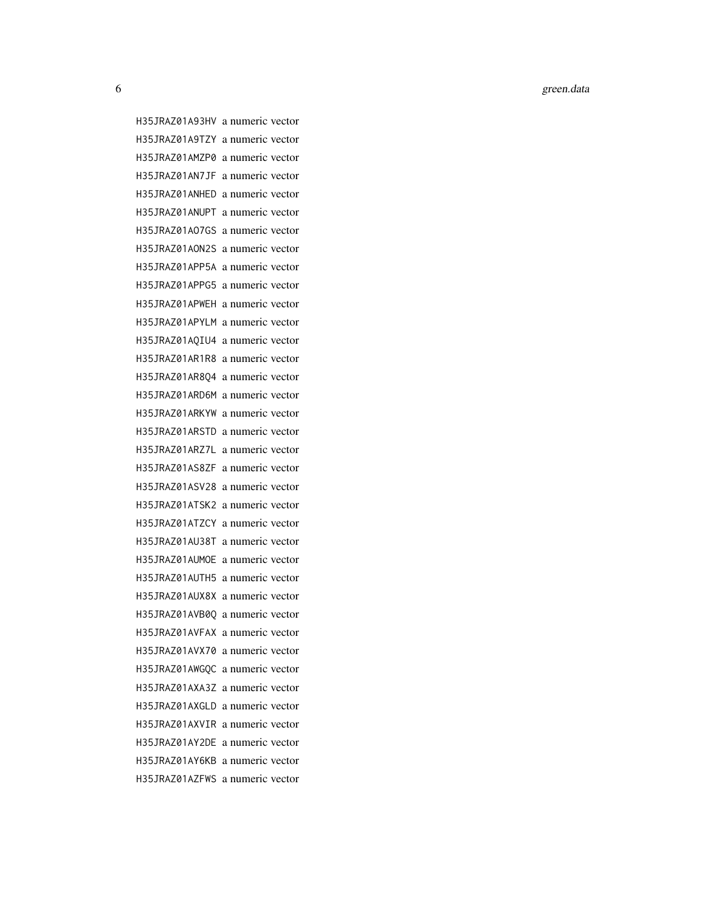6 Germanian State and the control of the control of the control of the control of the control of the control of the control of the control of the control of the control of the control of the control of the control of the c

H35JRAZ01A93HV a numeric vector H35JRAZ01A9TZY a numeric vector H35JRAZ01AMZP0 a numeric vector H35JRAZ01AN7JF a numeric vector H35JRAZ01ANHED a numeric vector H35JRAZ01ANUPT a numeric vector H35JRAZ01AO7GS a numeric vector H35JRAZ01AON2S a numeric vector H35JRAZ01APP5A a numeric vector H35JRAZ01APPG5 a numeric vector H35JRAZ01APWEH a numeric vector H35JRAZ01APYLM a numeric vector H35JRAZ01AQIU4 a numeric vector H35JRAZ01AR1R8 a numeric vector H35JRAZ01AR8Q4 a numeric vector H35JRAZ01ARD6M a numeric vector H35JRAZ01ARKYW a numeric vector H35JRAZ01ARSTD a numeric vector H35JRAZ01ARZ7L a numeric vector H35JRAZ01AS8ZF a numeric vector H35JRAZ01ASV28 a numeric vector H35JRAZ01ATSK2 a numeric vector H35JRAZ01ATZCY a numeric vector H35JRAZ01AU38T a numeric vector H35JRAZ01AUMOE a numeric vector H35JRAZ01AUTH5 a numeric vector H35JRAZ01AUX8X a numeric vector H35JRAZ01AVB0Q a numeric vector H35JRAZ01AVFAX a numeric vector H35JRAZ01AVX70 a numeric vector H35JRAZ01AWGQC a numeric vector H35JRAZ01AXA3Z a numeric vector H35JRAZ01AXGLD a numeric vector H35JRAZ01AXVIR a numeric vector H35JRAZ01AY2DE a numeric vector H35JRAZ01AY6KB a numeric vector H35JRAZ01AZFWS a numeric vector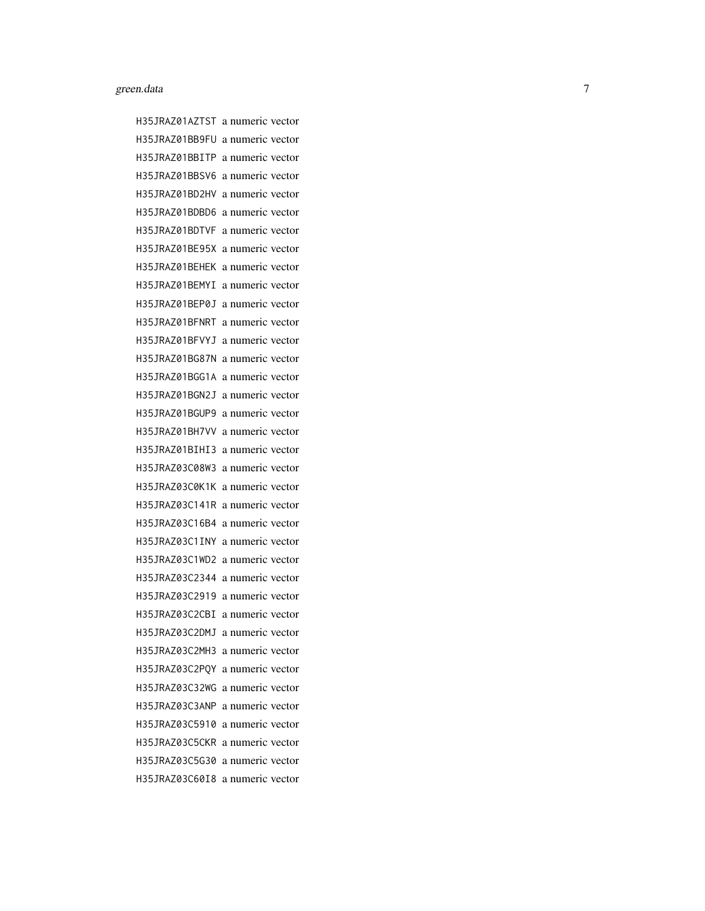H35JRAZ01AZTST a numeric vector H35JRAZ01BB9FU a numeric vector H35JRAZ01BBITP a numeric vector H35JRAZ01BBSV6 a numeric vector H35JRAZ01BD2HV a numeric vector H35JRAZ01BDBD6 a numeric vector H35JRAZ01BDTVF a numeric vector H35JRAZ01BE95X a numeric vector H35JRAZ01BEHEK a numeric vector H35JRAZ01BEMYI a numeric vector H35JRAZ01BEP0J a numeric vector H35JRAZ01BFNRT a numeric vector H35JRAZ01BFVYJ a numeric vector H35JRAZ01BG87N a numeric vector H35JRAZ01BGG1A a numeric vector H35JRAZ01BGN2J a numeric vector H35JRAZ01BGUP9 a numeric vector H35JRAZ01BH7VV a numeric vector H35JRAZ01BIHI3 a numeric vector H35JRAZ03C08W3 a numeric vector H35JRAZ03C0K1K a numeric vector H35JRAZ03C141R a numeric vector H35JRAZ03C16B4 a numeric vector H35JRAZ03C1INY a numeric vector H35JRAZ03C1WD2 a numeric vector H35JRAZ03C2344 a numeric vector H35JRAZ03C2919 a numeric vector H35JRAZ03C2CBI a numeric vector H35JRAZ03C2DMJ a numeric vector H35JRAZ03C2MH3 a numeric vector H35JRAZ03C2PQY a numeric vector H35JRAZ03C32WG a numeric vector H35JRAZ03C3ANP a numeric vector H35JRAZ03C5910 a numeric vector H35JRAZ03C5CKR a numeric vector H35JRAZ03C5G30 a numeric vector H35JRAZ03C60I8 a numeric vector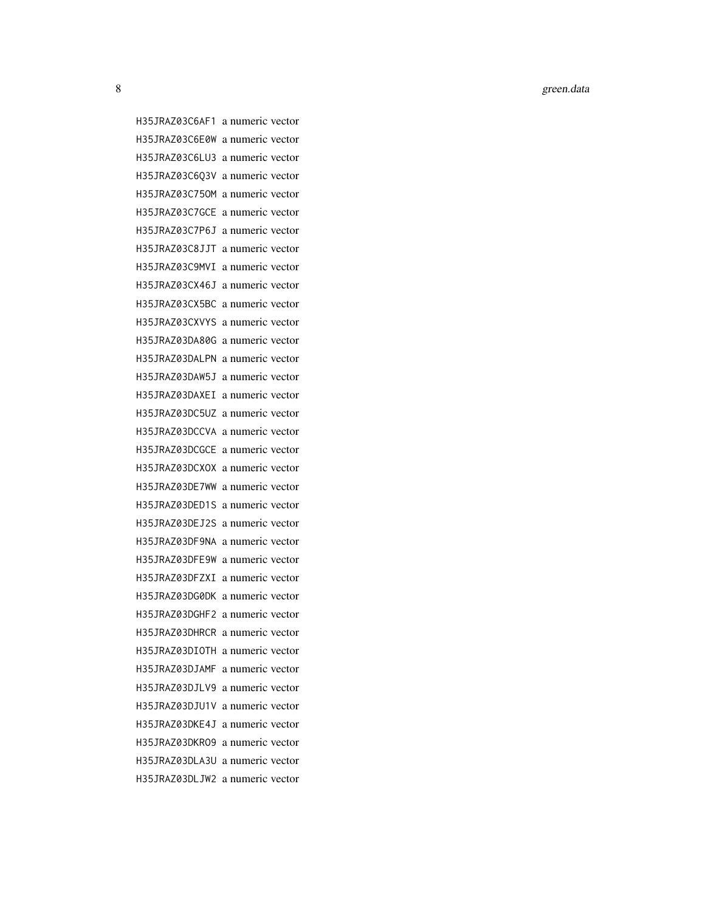8 green.data

H35JRAZ03C6AF1 a numeric vector H35JRAZ03C6E0W a numeric vector H35JRAZ03C6LU3 a numeric vector H35JRAZ03C6Q3V a numeric vector H35JRAZ03C75OM a numeric vector H35JRAZ03C7GCE a numeric vector H35JRAZ03C7P6J a numeric vector H35JRAZ03C8JJT a numeric vector H35JRAZ03C9MVI a numeric vector H35JRAZ03CX46J a numeric vector H35JRAZ03CX5BC a numeric vector H35JRAZ03CXVYS a numeric vector H35JRAZ03DA80G a numeric vector H35JRAZ03DALPN a numeric vector H35JRAZ03DAW5J a numeric vector H35JRAZ03DAXEI a numeric vector H35JRAZ03DC5UZ a numeric vector H35JRAZ03DCCVA a numeric vector H35JRAZ03DCGCE a numeric vector H35JRAZ03DCXOX a numeric vector H35JRAZ03DE7WW a numeric vector H35JRAZ03DED1S a numeric vector H35JRAZ03DEJ2S a numeric vector H35JRAZ03DF9NA a numeric vector H35JRAZ03DFE9W a numeric vector H35JRAZ03DFZXI a numeric vector H35JRAZ03DG0DK a numeric vector H35JRAZ03DGHF2 a numeric vector H35JRAZ03DHRCR a numeric vector H35JRAZ03DIOTH a numeric vector H35JRAZ03DJAMF a numeric vector H35JRAZ03DJLV9 a numeric vector H35JRAZ03DJU1V a numeric vector H35JRAZ03DKE4J a numeric vector H35JRAZ03DKRO9 a numeric vector H35JRAZ03DLA3U a numeric vector H35JRAZ03DLJW2 a numeric vector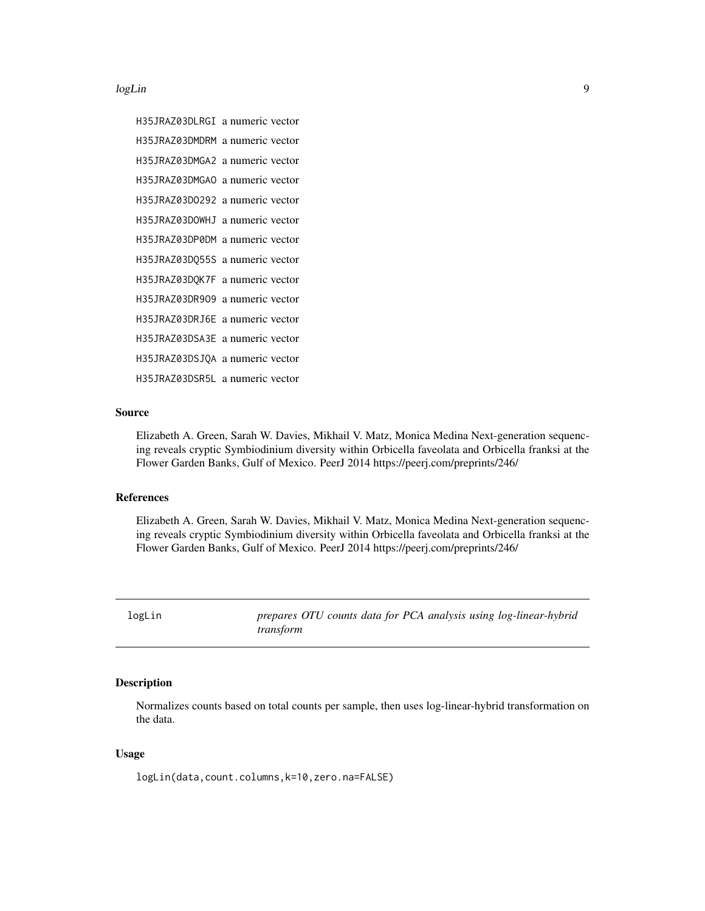<span id="page-8-0"></span>logLin 99 and 2008 and 2008 and 2008 and 2008 and 2008 and 2008 and 2008 and 2008 and 2008 and 2008 and 2008 a

H35JRAZ03DLRGI a numeric vector H35JRAZ03DMDRM a numeric vector H35JRAZ03DMGA2 a numeric vector H35JRAZ03DMGAO a numeric vector H35JRAZ03DO292 a numeric vector H35JRAZ03DOWHJ a numeric vector H35JRAZ03DP0DM a numeric vector H35JRAZ03DQ55S a numeric vector H35JRAZ03DQK7F a numeric vector H35JRAZ03DR9O9 a numeric vector H35JRAZ03DRJ6E a numeric vector H35JRAZ03DSA3E a numeric vector H35JRAZ03DSJQA a numeric vector H35JRAZ03DSR5L a numeric vector

#### Source

Elizabeth A. Green, Sarah W. Davies, Mikhail V. Matz, Monica Medina Next-generation sequencing reveals cryptic Symbiodinium diversity within Orbicella faveolata and Orbicella franksi at the Flower Garden Banks, Gulf of Mexico. PeerJ 2014 https://peerj.com/preprints/246/

#### References

Elizabeth A. Green, Sarah W. Davies, Mikhail V. Matz, Monica Medina Next-generation sequencing reveals cryptic Symbiodinium diversity within Orbicella faveolata and Orbicella franksi at the Flower Garden Banks, Gulf of Mexico. PeerJ 2014 https://peerj.com/preprints/246/

logLin *prepares OTU counts data for PCA analysis using log-linear-hybrid transform*

### Description

Normalizes counts based on total counts per sample, then uses log-linear-hybrid transformation on the data.

# Usage

logLin(data,count.columns,k=10,zero.na=FALSE)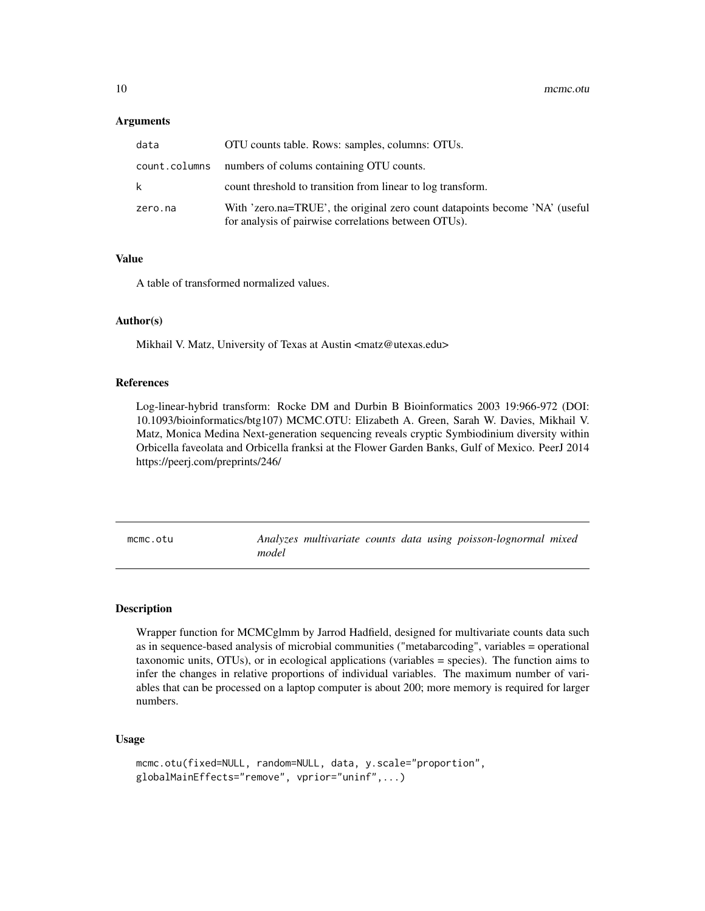#### <span id="page-9-0"></span>**Arguments**

| data          | OTU counts table. Rows: samples, columns: OTUs.                                                                                     |
|---------------|-------------------------------------------------------------------------------------------------------------------------------------|
| count.columns | numbers of colums containing OTU counts.                                                                                            |
| k.            | count threshold to transition from linear to log transform.                                                                         |
| zero.na       | With 'zero.na=TRUE', the original zero count datapoints become 'NA' (useful<br>for analysis of pairwise correlations between OTUs). |

# Value

A table of transformed normalized values.

#### Author(s)

Mikhail V. Matz, University of Texas at Austin <matz@utexas.edu>

#### References

Log-linear-hybrid transform: Rocke DM and Durbin B Bioinformatics 2003 19:966-972 (DOI: 10.1093/bioinformatics/btg107) MCMC.OTU: Elizabeth A. Green, Sarah W. Davies, Mikhail V. Matz, Monica Medina Next-generation sequencing reveals cryptic Symbiodinium diversity within Orbicella faveolata and Orbicella franksi at the Flower Garden Banks, Gulf of Mexico. PeerJ 2014 https://peerj.com/preprints/246/

mcmc.otu *Analyzes multivariate counts data using poisson-lognormal mixed model*

#### Description

Wrapper function for MCMCglmm by Jarrod Hadfield, designed for multivariate counts data such as in sequence-based analysis of microbial communities ("metabarcoding", variables = operational taxonomic units, OTUs), or in ecological applications (variables = species). The function aims to infer the changes in relative proportions of individual variables. The maximum number of variables that can be processed on a laptop computer is about 200; more memory is required for larger numbers.

# Usage

```
mcmc.otu(fixed=NULL, random=NULL, data, y.scale="proportion",
globalMainEffects="remove", vprior="uninf",...)
```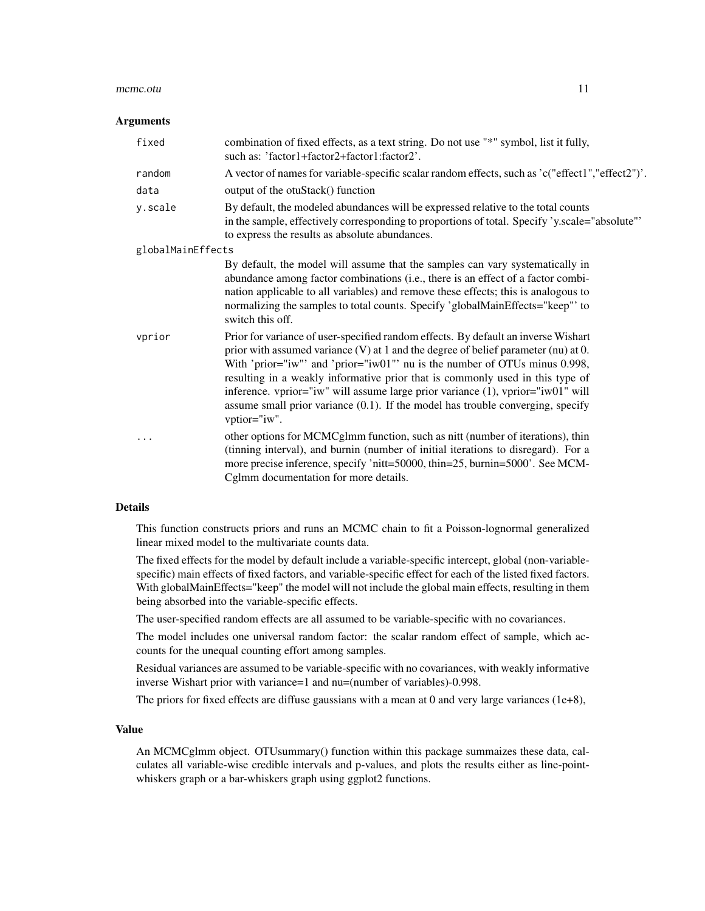#### mcmc.otu 11

#### **Arguments**

| fixed             | combination of fixed effects, as a text string. Do not use "*" symbol, list it fully,<br>such as: 'factor1+factor2+factor1:factor2'.                                                                                                                                                                                                                                                                                                                                                                                                     |
|-------------------|------------------------------------------------------------------------------------------------------------------------------------------------------------------------------------------------------------------------------------------------------------------------------------------------------------------------------------------------------------------------------------------------------------------------------------------------------------------------------------------------------------------------------------------|
| random            | A vector of names for variable-specific scalar random effects, such as 'c("effect1","effect2")'.                                                                                                                                                                                                                                                                                                                                                                                                                                         |
| data              | output of the otuStack() function                                                                                                                                                                                                                                                                                                                                                                                                                                                                                                        |
| y.scale           | By default, the modeled abundances will be expressed relative to the total counts<br>in the sample, effectively corresponding to proportions of total. Specify 'y.scale="absolute"<br>to express the results as absolute abundances.                                                                                                                                                                                                                                                                                                     |
| globalMainEffects |                                                                                                                                                                                                                                                                                                                                                                                                                                                                                                                                          |
|                   | By default, the model will assume that the samples can vary systematically in<br>abundance among factor combinations (i.e., there is an effect of a factor combi-<br>nation applicable to all variables) and remove these effects; this is analogous to<br>normalizing the samples to total counts. Specify 'globalMainEffects="keep"' to<br>switch this off.                                                                                                                                                                            |
| vprior            | Prior for variance of user-specified random effects. By default an inverse Wishart<br>prior with assumed variance $(V)$ at 1 and the degree of belief parameter (nu) at 0.<br>With 'prior="iw"' and 'prior="iw01"' nu is the number of OTUs minus $0.998$ ,<br>resulting in a weakly informative prior that is commonly used in this type of<br>inference. vprior="iw" will assume large prior variance $(1)$ , vprior="iw01" will<br>assume small prior variance $(0.1)$ . If the model has trouble converging, specify<br>vptior="iw". |
| .                 | other options for MCMCgImm function, such as nitt (number of iterations), thin<br>(tinning interval), and burnin (number of initial iterations to disregard). For a<br>more precise inference, specify 'nitt=50000, thin=25, burnin=5000'. See MCM-<br>Cglmm documentation for more details.                                                                                                                                                                                                                                             |

# Details

This function constructs priors and runs an MCMC chain to fit a Poisson-lognormal generalized linear mixed model to the multivariate counts data.

The fixed effects for the model by default include a variable-specific intercept, global (non-variablespecific) main effects of fixed factors, and variable-specific effect for each of the listed fixed factors. With globalMainEffects="keep" the model will not include the global main effects, resulting in them being absorbed into the variable-specific effects.

The user-specified random effects are all assumed to be variable-specific with no covariances.

The model includes one universal random factor: the scalar random effect of sample, which accounts for the unequal counting effort among samples.

Residual variances are assumed to be variable-specific with no covariances, with weakly informative inverse Wishart prior with variance=1 and nu=(number of variables)-0.998.

The priors for fixed effects are diffuse gaussians with a mean at 0 and very large variances  $(1e+8)$ ,

#### Value

An MCMCglmm object. OTUsummary() function within this package summaizes these data, calculates all variable-wise credible intervals and p-values, and plots the results either as line-pointwhiskers graph or a bar-whiskers graph using ggplot2 functions.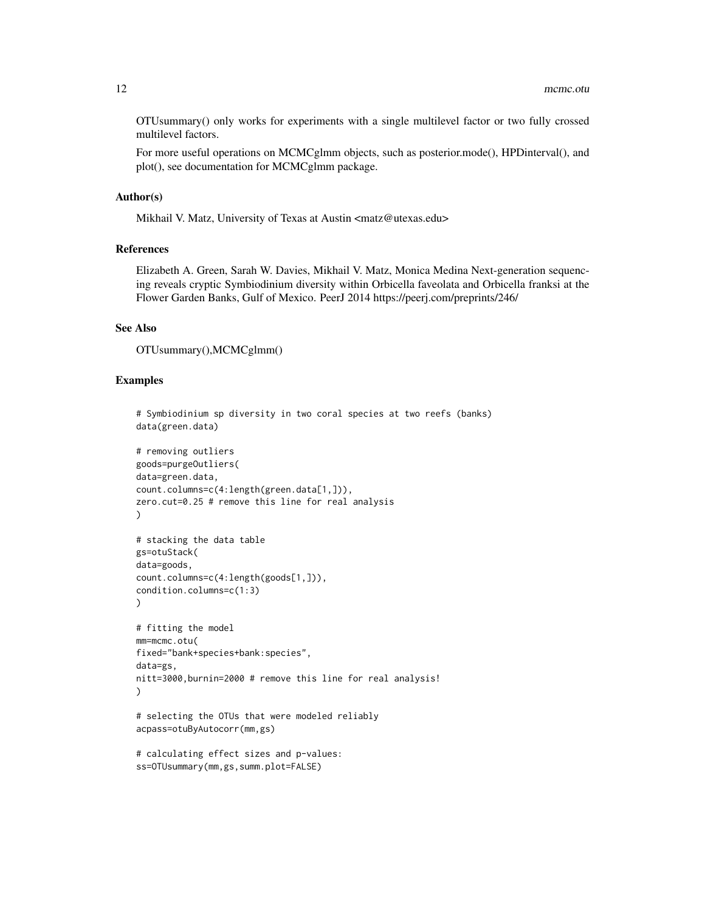OTUsummary() only works for experiments with a single multilevel factor or two fully crossed multilevel factors.

For more useful operations on MCMCglmm objects, such as posterior.mode(), HPDinterval(), and plot(), see documentation for MCMCglmm package.

#### Author(s)

Mikhail V. Matz, University of Texas at Austin <matz@utexas.edu>

#### References

Elizabeth A. Green, Sarah W. Davies, Mikhail V. Matz, Monica Medina Next-generation sequencing reveals cryptic Symbiodinium diversity within Orbicella faveolata and Orbicella franksi at the Flower Garden Banks, Gulf of Mexico. PeerJ 2014 https://peerj.com/preprints/246/

# See Also

OTUsummary(),MCMCglmm()

#### Examples

```
data(green.data)
# removing outliers
goods=purgeOutliers(
data=green.data,
count.columns=c(4:length(green.data[1,])),
zero.cut=0.25 # remove this line for real analysis
)
# stacking the data table
gs=otuStack(
data=goods,
count.columns=c(4:length(goods[1,])),
condition.columns=c(1:3)
)
# fitting the model
mm=mcmc.otu(
fixed="bank+species+bank:species",
data=gs,
nitt=3000,burnin=2000 # remove this line for real analysis!
)
# selecting the OTUs that were modeled reliably
acpass=otuByAutocorr(mm,gs)
```
# Symbiodinium sp diversity in two coral species at two reefs (banks)

```
# calculating effect sizes and p-values:
ss=OTUsummary(mm,gs,summ.plot=FALSE)
```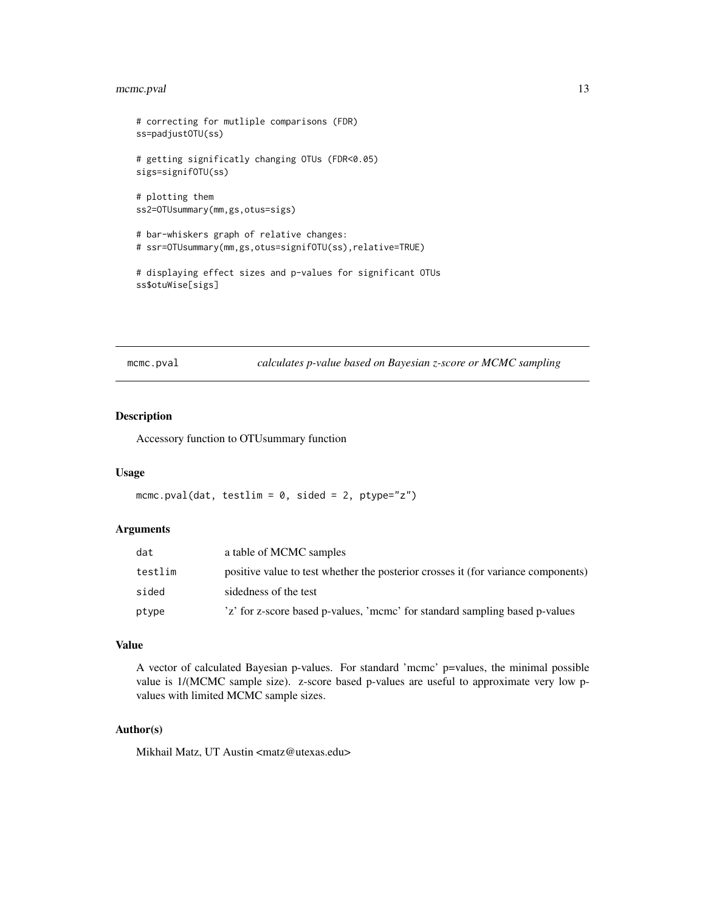# <span id="page-12-0"></span>mcmc.pval 13

```
# correcting for mutliple comparisons (FDR)
ss=padjustOTU(ss)
# getting significatly changing OTUs (FDR<0.05)
sigs=signifOTU(ss)
# plotting them
ss2=OTUsummary(mm,gs,otus=sigs)
# bar-whiskers graph of relative changes:
# ssr=OTUsummary(mm,gs,otus=signifOTU(ss),relative=TRUE)
# displaying effect sizes and p-values for significant OTUs
```

```
ss$otuWise[sigs]
```
mcmc.pval *calculates p-value based on Bayesian z-score or MCMC sampling*

#### Description

Accessory function to OTUsummary function

#### Usage

```
mcmc.pval(dat, testlim = 0, sided = 2, ptype="z")
```
#### Arguments

| dat     | a table of MCMC samples                                                           |
|---------|-----------------------------------------------------------------------------------|
| testlim | positive value to test whether the posterior crosses it (for variance components) |
| sided   | sidedness of the test                                                             |
| ptype   | 'z' for z-score based p-values, 'mcmc' for standard sampling based p-values       |

# Value

A vector of calculated Bayesian p-values. For standard 'mcmc' p=values, the minimal possible value is 1/(MCMC sample size). z-score based p-values are useful to approximate very low pvalues with limited MCMC sample sizes.

# Author(s)

Mikhail Matz, UT Austin <matz@utexas.edu>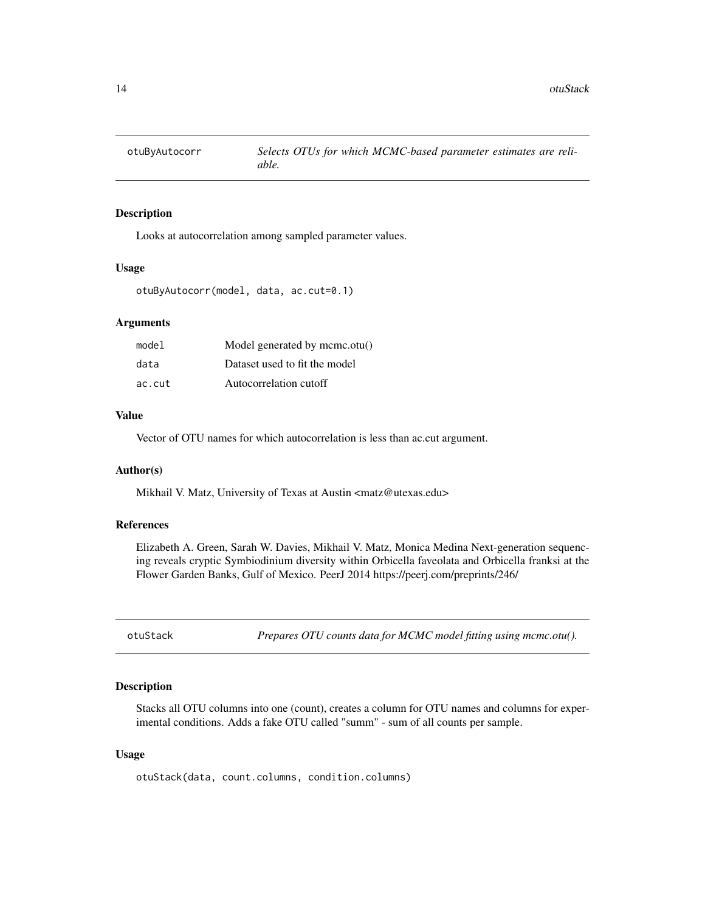<span id="page-13-0"></span>

Looks at autocorrelation among sampled parameter values.

#### Usage

```
otuByAutocorr(model, data, ac.cut=0.1)
```
#### Arguments

| model  | Model generated by mcmc.otu() |
|--------|-------------------------------|
| data   | Dataset used to fit the model |
| ac.cut | Autocorrelation cutoff        |

#### Value

Vector of OTU names for which autocorrelation is less than ac.cut argument.

#### Author(s)

Mikhail V. Matz, University of Texas at Austin <matz@utexas.edu>

#### References

Elizabeth A. Green, Sarah W. Davies, Mikhail V. Matz, Monica Medina Next-generation sequencing reveals cryptic Symbiodinium diversity within Orbicella faveolata and Orbicella franksi at the Flower Garden Banks, Gulf of Mexico. PeerJ 2014 https://peerj.com/preprints/246/

otuStack *Prepares OTU counts data for MCMC model fitting using mcmc.otu().*

#### Description

Stacks all OTU columns into one (count), creates a column for OTU names and columns for experimental conditions. Adds a fake OTU called "summ" - sum of all counts per sample.

#### Usage

```
otuStack(data, count.columns, condition.columns)
```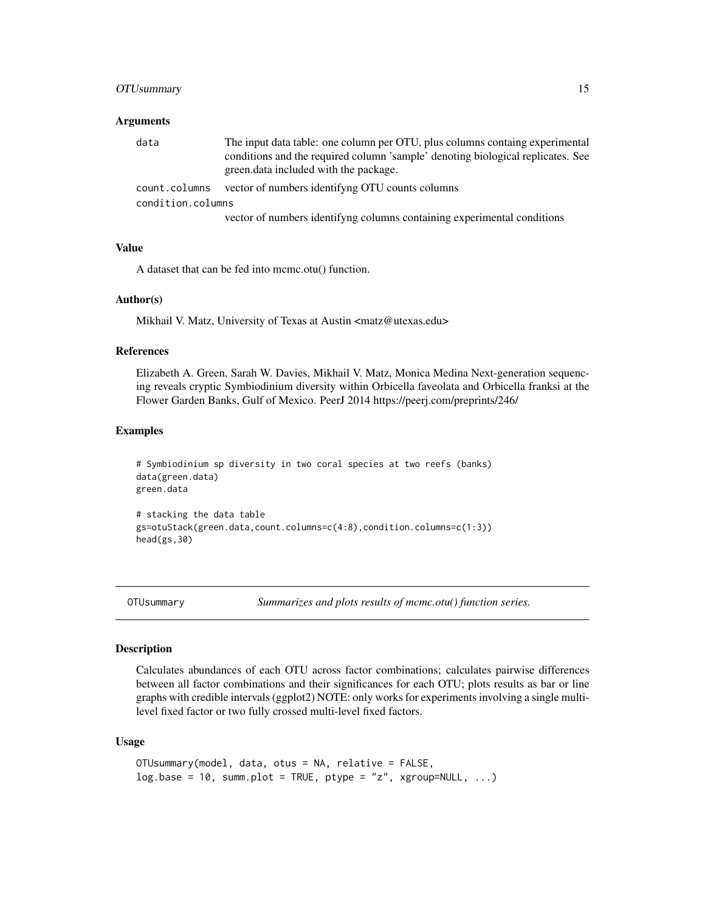# <span id="page-14-0"></span>OTUsummary 15

#### **Arguments**

| data              | The input data table: one column per OTU, plus columns containg experimental<br>conditions and the required column 'sample' denoting biological replicates. See<br>green. data included with the package. |
|-------------------|-----------------------------------------------------------------------------------------------------------------------------------------------------------------------------------------------------------|
| count.columns     | vector of numbers identifying OTU counts columns                                                                                                                                                          |
| condition.columns |                                                                                                                                                                                                           |
|                   | vector of numbers identifyng columns containing experimental conditions                                                                                                                                   |

#### Value

A dataset that can be fed into mcmc.otu() function.

## Author(s)

Mikhail V. Matz, University of Texas at Austin <matz@utexas.edu>

#### References

Elizabeth A. Green, Sarah W. Davies, Mikhail V. Matz, Monica Medina Next-generation sequencing reveals cryptic Symbiodinium diversity within Orbicella faveolata and Orbicella franksi at the Flower Garden Banks, Gulf of Mexico. PeerJ 2014 https://peerj.com/preprints/246/

#### Examples

```
# Symbiodinium sp diversity in two coral species at two reefs (banks)
data(green.data)
green.data
# stacking the data table
gs=otuStack(green.data,count.columns=c(4:8),condition.columns=c(1:3))
head(gs,30)
```
OTUsummary *Summarizes and plots results of mcmc.otu() function series.*

#### Description

Calculates abundances of each OTU across factor combinations; calculates pairwise differences between all factor combinations and their significances for each OTU; plots results as bar or line graphs with credible intervals (ggplot2) NOTE: only works for experiments involving a single multilevel fixed factor or two fully crossed multi-level fixed factors.

#### Usage

```
OTUsummary(model, data, otus = NA, relative = FALSE,
log base = 10, summ.plot = TRUE, ptype = "z", xgroup=NULL, ...)
```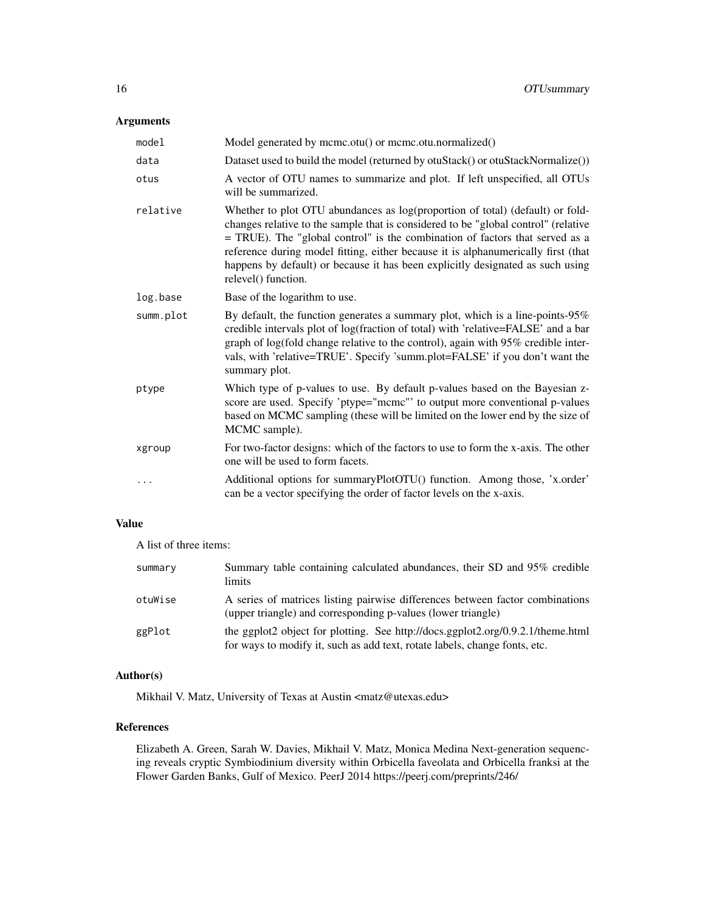# Arguments

| model     | Model generated by mcmc.otu() or mcmc.otu.normalized()                                                                                                                                                                                                                                                                                                                                                                                            |
|-----------|---------------------------------------------------------------------------------------------------------------------------------------------------------------------------------------------------------------------------------------------------------------------------------------------------------------------------------------------------------------------------------------------------------------------------------------------------|
| data      | Dataset used to build the model (returned by otuStack() or otuStackNormalize())                                                                                                                                                                                                                                                                                                                                                                   |
| otus      | A vector of OTU names to summarize and plot. If left unspecified, all OTUs<br>will be summarized.                                                                                                                                                                                                                                                                                                                                                 |
| relative  | Whether to plot OTU abundances as log(proportion of total) (default) or fold-<br>changes relative to the sample that is considered to be "global control" (relative<br>= TRUE). The "global control" is the combination of factors that served as a<br>reference during model fitting, either because it is alphanumerically first (that<br>happens by default) or because it has been explicitly designated as such using<br>relevel() function. |
| log.base  | Base of the logarithm to use.                                                                                                                                                                                                                                                                                                                                                                                                                     |
| summ.plot | By default, the function generates a summary plot, which is a line-points-95%<br>credible intervals plot of log(fraction of total) with 'relative=FALSE' and a bar<br>graph of log(fold change relative to the control), again with 95% credible inter-<br>vals, with 'relative=TRUE'. Specify 'summ.plot=FALSE' if you don't want the<br>summary plot.                                                                                           |
| ptype     | Which type of p-values to use. By default p-values based on the Bayesian z-<br>score are used. Specify 'ptype="mcmc"' to output more conventional p-values<br>based on MCMC sampling (these will be limited on the lower end by the size of<br>MCMC sample).                                                                                                                                                                                      |
| xgroup    | For two-factor designs: which of the factors to use to form the x-axis. The other<br>one will be used to form facets.                                                                                                                                                                                                                                                                                                                             |
| $\cdots$  | Additional options for summaryPlotOTU() function. Among those, 'x.order'<br>can be a vector specifying the order of factor levels on the x-axis.                                                                                                                                                                                                                                                                                                  |

# Value

A list of three items:

| summary | Summary table containing calculated abundances, their SD and 95% credible<br>limits                                                                           |
|---------|---------------------------------------------------------------------------------------------------------------------------------------------------------------|
| otuWise | A series of matrices listing pairwise differences between factor combinations<br>(upper triangle) and corresponding p-values (lower triangle)                 |
| ggPlot  | the ggplot2 object for plotting. See http://docs.ggplot2.org/0.9.2.1/theme.html<br>for ways to modify it, such as add text, rotate labels, change fonts, etc. |

# Author(s)

Mikhail V. Matz, University of Texas at Austin <matz@utexas.edu>

# References

Elizabeth A. Green, Sarah W. Davies, Mikhail V. Matz, Monica Medina Next-generation sequencing reveals cryptic Symbiodinium diversity within Orbicella faveolata and Orbicella franksi at the Flower Garden Banks, Gulf of Mexico. PeerJ 2014 https://peerj.com/preprints/246/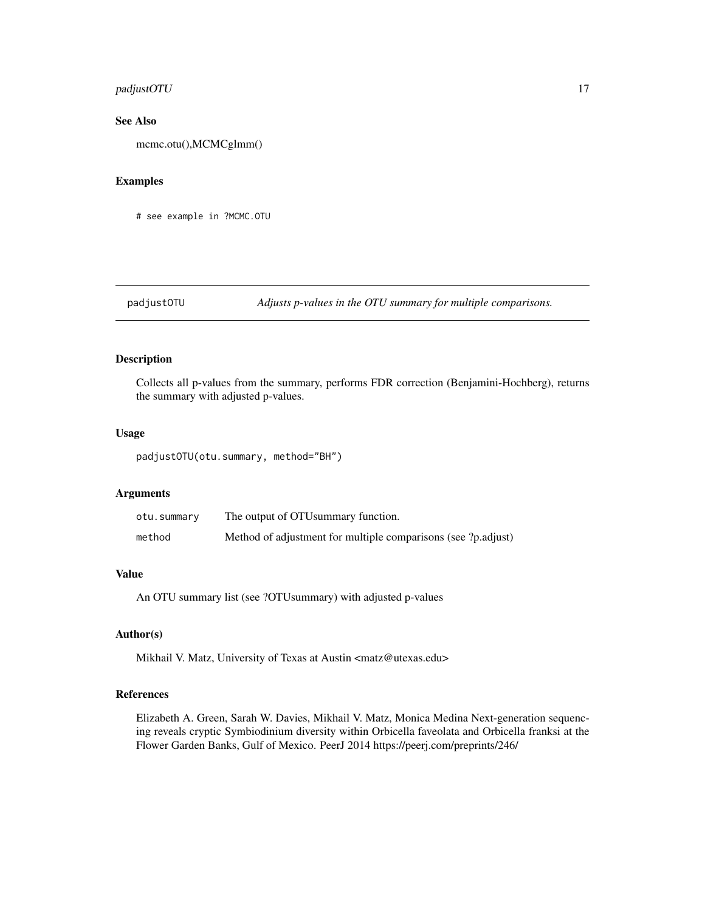# <span id="page-16-0"></span>padjustOTU 17

# See Also

mcmc.otu(),MCMCglmm()

#### Examples

# see example in ?MCMC.OTU

# padjustOTU *Adjusts p-values in the OTU summary for multiple comparisons.*

# Description

Collects all p-values from the summary, performs FDR correction (Benjamini-Hochberg), returns the summary with adjusted p-values.

#### Usage

padjustOTU(otu.summary, method="BH")

# Arguments

| otu.summary | The output of OTU summary function.                           |
|-------------|---------------------------------------------------------------|
| method      | Method of adjustment for multiple comparisons (see ?p.adjust) |

# Value

An OTU summary list (see ?OTUsummary) with adjusted p-values

# Author(s)

Mikhail V. Matz, University of Texas at Austin <matz@utexas.edu>

#### References

Elizabeth A. Green, Sarah W. Davies, Mikhail V. Matz, Monica Medina Next-generation sequencing reveals cryptic Symbiodinium diversity within Orbicella faveolata and Orbicella franksi at the Flower Garden Banks, Gulf of Mexico. PeerJ 2014 https://peerj.com/preprints/246/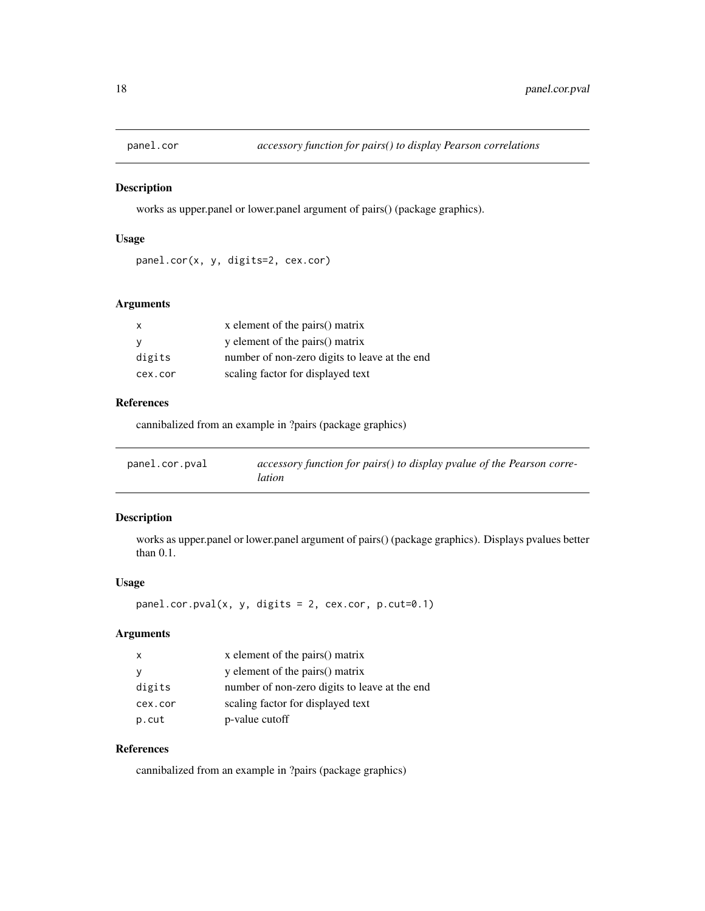<span id="page-17-0"></span>

works as upper.panel or lower.panel argument of pairs() (package graphics).

#### Usage

```
panel.cor(x, y, digits=2, cex.cor)
```
# Arguments

| $\mathsf{X}$ | x element of the pairs() matrix               |
|--------------|-----------------------------------------------|
| - V          | y element of the pairs() matrix               |
| digits       | number of non-zero digits to leave at the end |
| cex.cor      | scaling factor for displayed text             |

# References

cannibalized from an example in ?pairs (package graphics)

| panel.cor.pval | accessory function for pairs() to display pvalue of the Pearson corre- |
|----------------|------------------------------------------------------------------------|
|                | <i>lation</i>                                                          |

# Description

works as upper.panel or lower.panel argument of pairs() (package graphics). Displays pvalues better than 0.1.

# Usage

 $panel.cor.pval(x, y, digits = 2, cex.cor, p.cut=0.1)$ 

# Arguments

| $\mathsf{X}$ | x element of the pairs() matrix               |
|--------------|-----------------------------------------------|
|              | y element of the pairs() matrix               |
| digits       | number of non-zero digits to leave at the end |
| cex.cor      | scaling factor for displayed text             |
| p.cut        | p-value cutoff                                |

# References

cannibalized from an example in ?pairs (package graphics)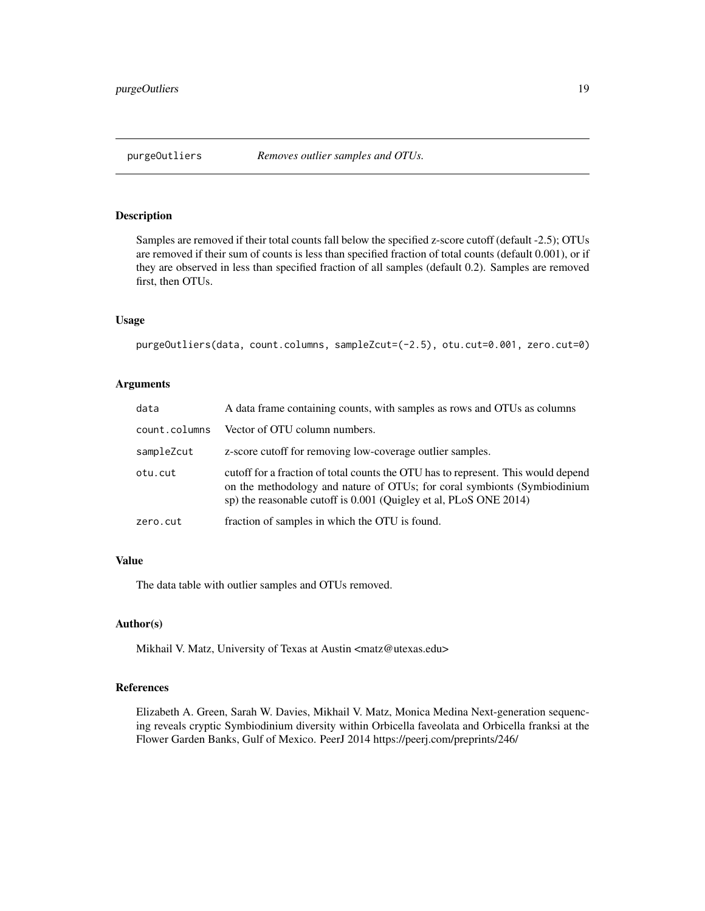<span id="page-18-0"></span>Samples are removed if their total counts fall below the specified z-score cutoff (default -2.5); OTUs are removed if their sum of counts is less than specified fraction of total counts (default 0.001), or if they are observed in less than specified fraction of all samples (default 0.2). Samples are removed first, then OTUs.

#### Usage

```
purgeOutliers(data, count.columns, sampleZcut=(-2.5), otu.cut=0.001, zero.cut=0)
```
#### Arguments

| data          | A data frame containing counts, with samples as rows and OTUs as columns                                                                                                                                                           |
|---------------|------------------------------------------------------------------------------------------------------------------------------------------------------------------------------------------------------------------------------------|
| count.columns | Vector of OTU column numbers.                                                                                                                                                                                                      |
| sampleZcut    | z-score cutoff for removing low-coverage outlier samples.                                                                                                                                                                          |
| otu.cut       | cutoff for a fraction of total counts the OTU has to represent. This would depend<br>on the methodology and nature of OTUs; for coral symbionts (Symbiodinium<br>sp) the reasonable cutoff is 0.001 (Quigley et al, PLoS ONE 2014) |
| zero.cut      | fraction of samples in which the OTU is found.                                                                                                                                                                                     |

# Value

The data table with outlier samples and OTUs removed.

#### Author(s)

Mikhail V. Matz, University of Texas at Austin <matz@utexas.edu>

# References

Elizabeth A. Green, Sarah W. Davies, Mikhail V. Matz, Monica Medina Next-generation sequencing reveals cryptic Symbiodinium diversity within Orbicella faveolata and Orbicella franksi at the Flower Garden Banks, Gulf of Mexico. PeerJ 2014 https://peerj.com/preprints/246/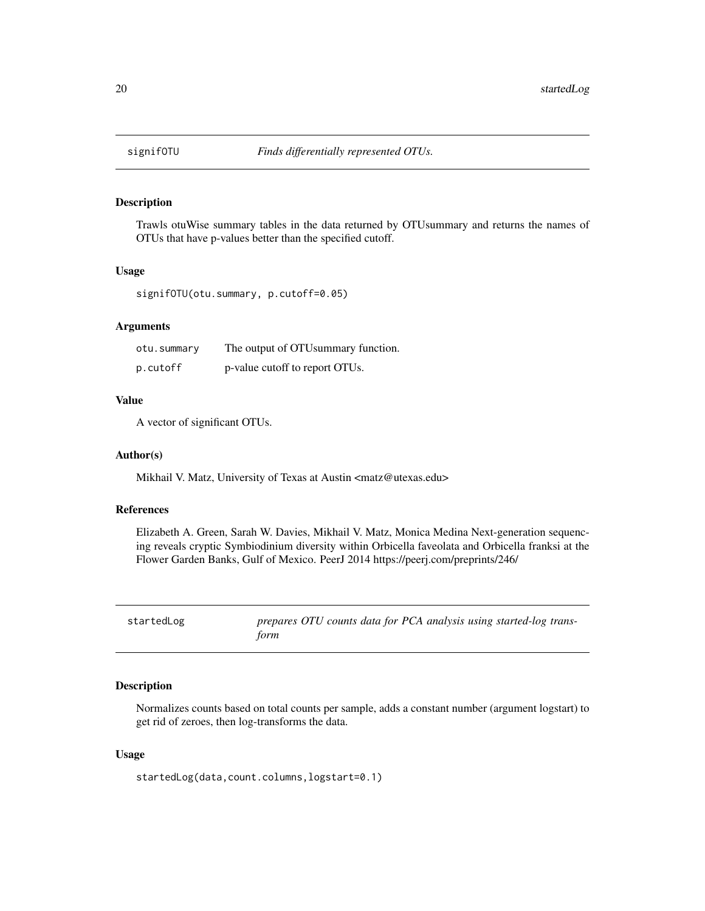<span id="page-19-0"></span>

Trawls otuWise summary tables in the data returned by OTUsummary and returns the names of OTUs that have p-values better than the specified cutoff.

# Usage

signifOTU(otu.summary, p.cutoff=0.05)

#### **Arguments**

| otu.summary | The output of OTU summary function. |
|-------------|-------------------------------------|
| p.cutoff    | p-value cutoff to report OTUs.      |

# Value

A vector of significant OTUs.

#### Author(s)

Mikhail V. Matz, University of Texas at Austin <matz@utexas.edu>

#### References

Elizabeth A. Green, Sarah W. Davies, Mikhail V. Matz, Monica Medina Next-generation sequencing reveals cryptic Symbiodinium diversity within Orbicella faveolata and Orbicella franksi at the Flower Garden Banks, Gulf of Mexico. PeerJ 2014 https://peerj.com/preprints/246/

startedLog *prepares OTU counts data for PCA analysis using started-log transform*

# Description

Normalizes counts based on total counts per sample, adds a constant number (argument logstart) to get rid of zeroes, then log-transforms the data.

### Usage

startedLog(data,count.columns,logstart=0.1)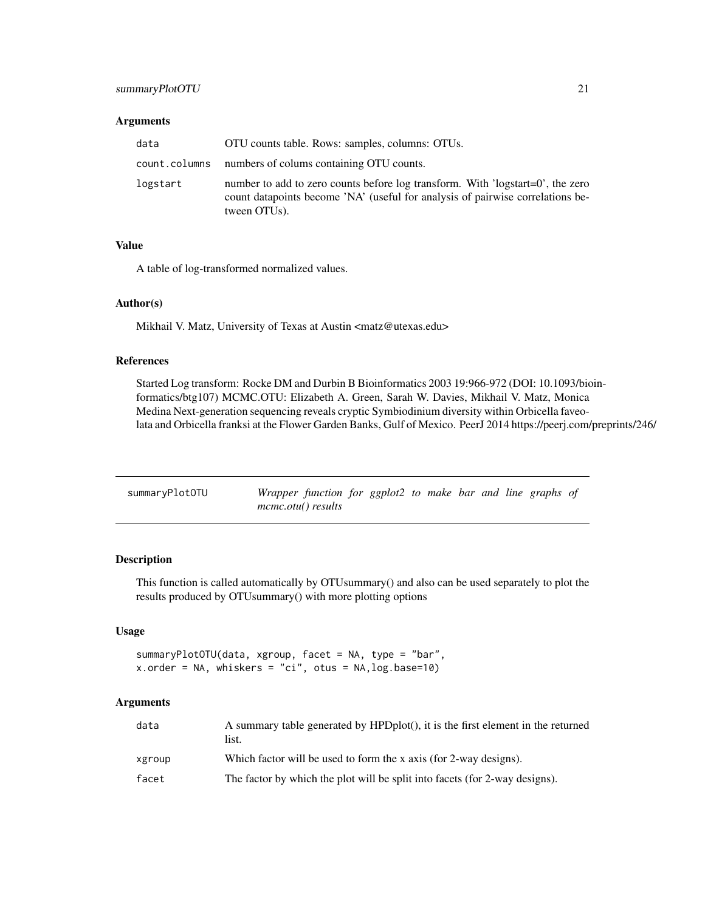#### <span id="page-20-0"></span>**Arguments**

| data          | OTU counts table. Rows: samples, columns: OTUs.                                                                                                                                  |
|---------------|----------------------------------------------------------------------------------------------------------------------------------------------------------------------------------|
| count.columns | numbers of colums containing OTU counts.                                                                                                                                         |
| logstart      | number to add to zero counts before log transform. With 'logstart=0', the zero<br>count datapoints become 'NA' (useful for analysis of pairwise correlations be-<br>tween OTUs). |

#### Value

A table of log-transformed normalized values.

#### Author(s)

Mikhail V. Matz, University of Texas at Austin <matz@utexas.edu>

# References

Started Log transform: Rocke DM and Durbin B Bioinformatics 2003 19:966-972 (DOI: 10.1093/bioinformatics/btg107) MCMC.OTU: Elizabeth A. Green, Sarah W. Davies, Mikhail V. Matz, Monica Medina Next-generation sequencing reveals cryptic Symbiodinium diversity within Orbicella faveolata and Orbicella franksi at the Flower Garden Banks, Gulf of Mexico. PeerJ 2014 https://peerj.com/preprints/246/

| summaryPlotOTU | Wrapper function for ggplot2 to make bar and line graphs of |  |  |  |  |  |
|----------------|-------------------------------------------------------------|--|--|--|--|--|
|                | <i>mcmc.otu() results</i>                                   |  |  |  |  |  |

# Description

This function is called automatically by OTUsummary() and also can be used separately to plot the results produced by OTUsummary() with more plotting options

#### Usage

summaryPlotOTU(data, xgroup, facet = NA, type = "bar", x.order = NA, whiskers = "ci", otus = NA,log.base=10)

# Arguments

| data   | A summary table generated by HPDplot(), it is the first element in the returned<br>list. |
|--------|------------------------------------------------------------------------------------------|
| xgroup | Which factor will be used to form the x axis (for 2-way designs).                        |
| facet  | The factor by which the plot will be split into facets (for 2-way designs).              |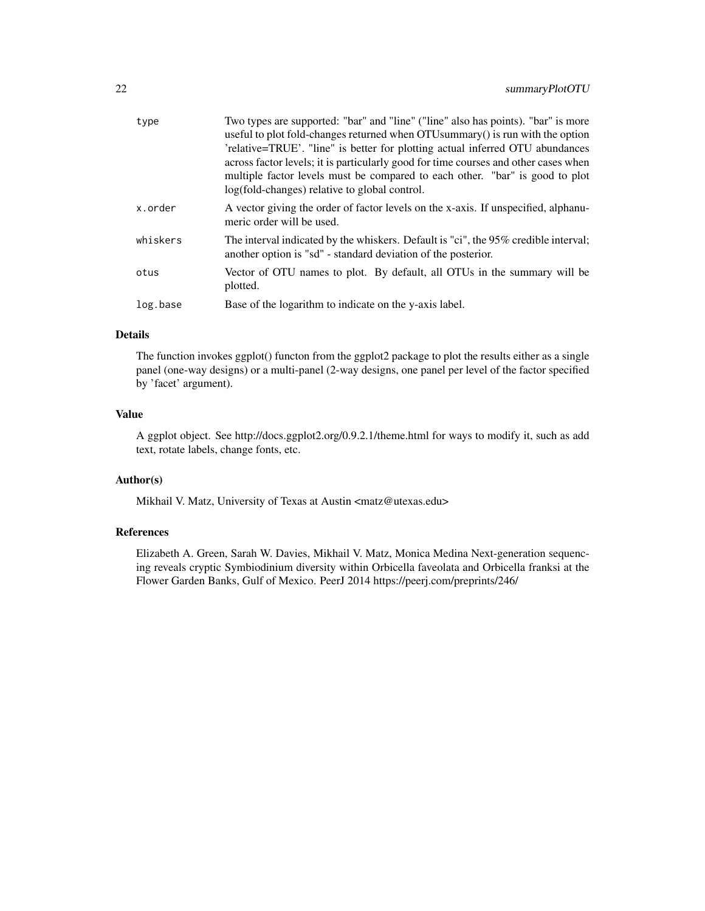| type     | Two types are supported: "bar" and "line" ("line" also has points). "bar" is more<br>useful to plot fold-changes returned when OTU summary () is run with the option<br>'relative=TRUE'. "line" is better for plotting actual inferred OTU abundances<br>across factor levels; it is particularly good for time courses and other cases when<br>multiple factor levels must be compared to each other. "bar" is good to plot<br>log(fold-changes) relative to global control. |
|----------|-------------------------------------------------------------------------------------------------------------------------------------------------------------------------------------------------------------------------------------------------------------------------------------------------------------------------------------------------------------------------------------------------------------------------------------------------------------------------------|
| x.order  | A vector giving the order of factor levels on the x-axis. If unspecified, alphanu-<br>meric order will be used.                                                                                                                                                                                                                                                                                                                                                               |
| whiskers | The interval indicated by the whiskers. Default is "ci", the 95% credible interval;<br>another option is "sd" - standard deviation of the posterior.                                                                                                                                                                                                                                                                                                                          |
| otus     | Vector of OTU names to plot. By default, all OTUs in the summary will be<br>plotted.                                                                                                                                                                                                                                                                                                                                                                                          |
| log.base | Base of the logarithm to indicate on the y-axis label.                                                                                                                                                                                                                                                                                                                                                                                                                        |

# Details

The function invokes ggplot() functon from the ggplot2 package to plot the results either as a single panel (one-way designs) or a multi-panel (2-way designs, one panel per level of the factor specified by 'facet' argument).

# Value

A ggplot object. See http://docs.ggplot2.org/0.9.2.1/theme.html for ways to modify it, such as add text, rotate labels, change fonts, etc.

# Author(s)

Mikhail V. Matz, University of Texas at Austin <matz@utexas.edu>

# References

Elizabeth A. Green, Sarah W. Davies, Mikhail V. Matz, Monica Medina Next-generation sequencing reveals cryptic Symbiodinium diversity within Orbicella faveolata and Orbicella franksi at the Flower Garden Banks, Gulf of Mexico. PeerJ 2014 https://peerj.com/preprints/246/